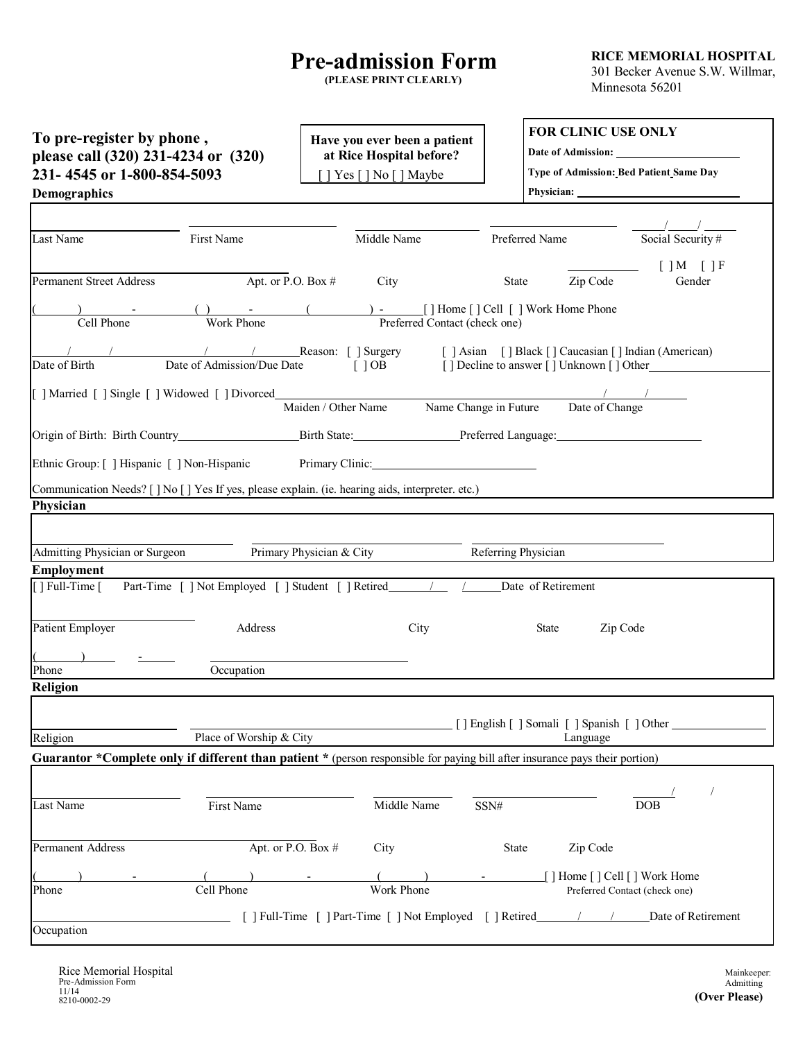## **Pre-admission Form**

**(PLEASE PRINT CLEARLY)**

**RICE MEMORIAL HOSPITAL** 301 Becker Avenue S.W. Willmar, Minnesota 56201

| To pre-register by phone,<br>please call (320) 231-4234 or (320)<br>231-4545 or 1-800-854-5093<br><b>Demographics</b>        |                            |                          | Have you ever been a patient<br>at Rice Hospital before?<br>] Yes [] No [] Maybe |                               |                     | <b>FOR CLINIC USE ONLY</b>                                                                    | Type of Admission: Bed Patient Same Day                                     |
|------------------------------------------------------------------------------------------------------------------------------|----------------------------|--------------------------|----------------------------------------------------------------------------------|-------------------------------|---------------------|-----------------------------------------------------------------------------------------------|-----------------------------------------------------------------------------|
| Last Name                                                                                                                    | First Name                 |                          | Middle Name                                                                      |                               | Preferred Name      |                                                                                               | Social Security #                                                           |
| <b>Permanent Street Address</b>                                                                                              | Apt. or P.O. Box #         |                          | City                                                                             |                               | State               | Zip Code                                                                                      | $[$ $]$ M $[$ $]$ F<br>Gender                                               |
| Cell Phone                                                                                                                   | Work Phone                 |                          |                                                                                  | Preferred Contact (check one) |                     | ) - [] Home [] Cell [] Work Home Phone                                                        |                                                                             |
| Date of Birth                                                                                                                | Date of Admission/Due Date |                          | $\lceil$ $\rceil$ OB                                                             |                               |                     | [] Decline to answer [] Unknown [] Other                                                      | Reason: [ ] Surgery [ ] Asian [ ] Black [ ] Caucasian [ ] Indian (American) |
| [ ] Married [ ] Single [ ] Widowed [ ] Divorced_________________________________                                             |                            |                          |                                                                                  |                               |                     | $\frac{1}{2}$ . The contract of the contract of $\frac{1}{2}$ , $\frac{1}{2}$ , $\frac{1}{2}$ |                                                                             |
|                                                                                                                              |                            | Maiden / Other Name      |                                                                                  | Name Change in Future         |                     | Date of Change                                                                                |                                                                             |
|                                                                                                                              |                            |                          |                                                                                  |                               |                     |                                                                                               |                                                                             |
| Ethnic Group: [ ] Hispanic [ ] Non-Hispanic                                                                                  |                            |                          | Primary Clinic: New York 1988                                                    |                               |                     |                                                                                               |                                                                             |
| Communication Needs? [ ] No [ ] Yes If yes, please explain. (ie. hearing aids, interpreter. etc.)                            |                            |                          |                                                                                  |                               |                     |                                                                                               |                                                                             |
| Physician                                                                                                                    |                            |                          |                                                                                  |                               |                     |                                                                                               |                                                                             |
|                                                                                                                              |                            |                          |                                                                                  |                               |                     |                                                                                               |                                                                             |
| Admitting Physician or Surgeon                                                                                               |                            | Primary Physician & City |                                                                                  |                               | Referring Physician |                                                                                               |                                                                             |
| <b>Employment</b>                                                                                                            |                            |                          |                                                                                  |                               |                     |                                                                                               |                                                                             |
| $\lceil$   Full-Time $\lceil$                                                                                                |                            |                          |                                                                                  |                               |                     | Date of Retirement                                                                            |                                                                             |
| <b>Patient Employer</b>                                                                                                      | Address                    |                          | City                                                                             |                               |                     | State<br>Zip Code                                                                             |                                                                             |
|                                                                                                                              |                            |                          |                                                                                  |                               |                     |                                                                                               |                                                                             |
| Phone                                                                                                                        | Occupation                 |                          |                                                                                  |                               |                     |                                                                                               |                                                                             |
| Religion                                                                                                                     |                            |                          |                                                                                  |                               |                     |                                                                                               |                                                                             |
| Religion                                                                                                                     | Place of Worship & City    |                          |                                                                                  |                               |                     | [] English [] Somali [] Spanish [] Other<br>Language                                          |                                                                             |
| Guarantor *Complete only if different than patient * (person responsible for paying bill after insurance pays their portion) |                            |                          |                                                                                  |                               |                     |                                                                                               |                                                                             |
|                                                                                                                              |                            |                          |                                                                                  |                               |                     |                                                                                               |                                                                             |
| Last Name                                                                                                                    | First Name                 |                          | Middle Name                                                                      |                               | SSN#                |                                                                                               | <b>DOB</b>                                                                  |
| <b>Permanent Address</b>                                                                                                     | Apt. or P.O. Box #         |                          | City                                                                             |                               | State               | Zip Code                                                                                      |                                                                             |
| Phone                                                                                                                        | Cell Phone                 |                          | Work Phone                                                                       |                               |                     | [ ] Home [ ] Cell [ ] Work Home                                                               | Preferred Contact (check one)                                               |
|                                                                                                                              |                            |                          |                                                                                  |                               |                     |                                                                                               |                                                                             |
| Occupation                                                                                                                   |                            |                          | [ ] Full-Time [ ] Part-Time [ ] Not Employed [ ] Retired                         |                               |                     |                                                                                               | Date of Retirement                                                          |